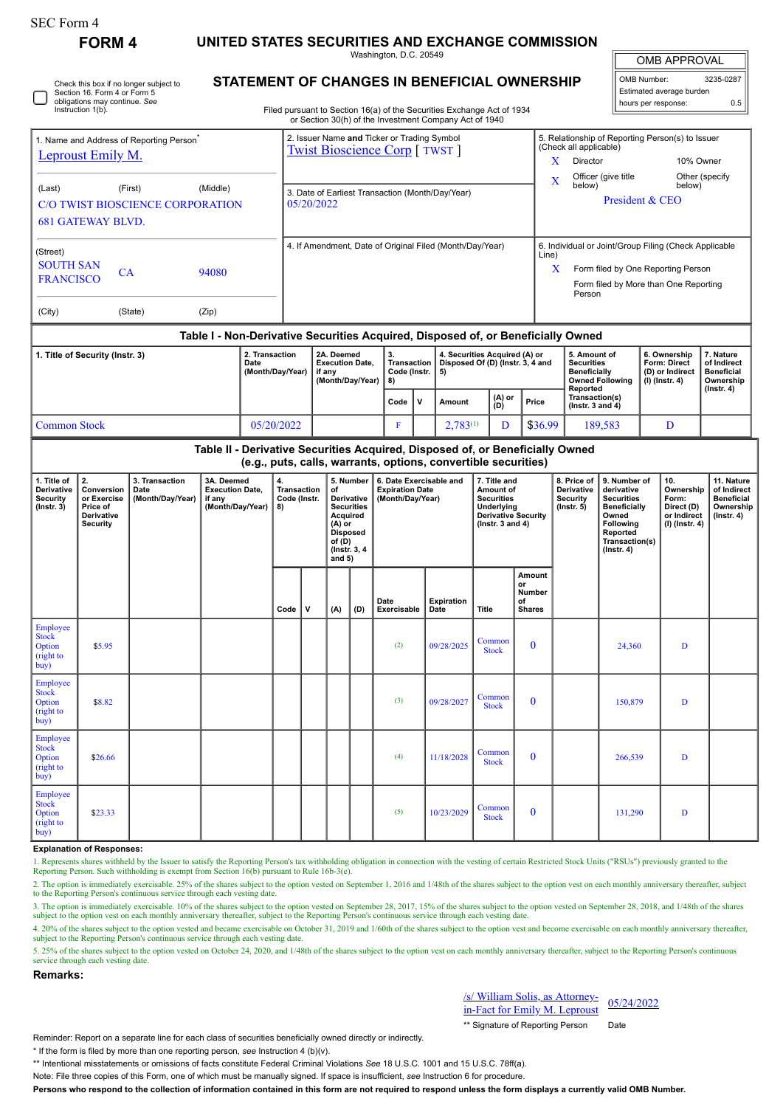| K IVI<br>٠. |  |
|-------------|--|
|-------------|--|

## **FORM 4 UNITED STATES SECURITIES AND EXCHANGE COMMISSION**

Washington, D.C. 20549 **STATEMENT OF CHANGES IN BENEFICIAL OWNERSHIP**

OMB APPROVAL

| OMB Number:              | 3235-0287 |  |  |  |  |  |  |  |  |  |
|--------------------------|-----------|--|--|--|--|--|--|--|--|--|
| Estimated average burden |           |  |  |  |  |  |  |  |  |  |
| hours per response:      | 0.5       |  |  |  |  |  |  |  |  |  |

Filed pursuant to Section 16(a) of the Securities Exchange Act of 1934 Check this box if no longer subject to Section 16. Form 4 or Form 5 obligations may continue. *See* Instruction 1(b).

|                                                                                               |         |       |                                    |                                                                    | or Section 30(h) of the Investment Company Act of 1940                               |                                                                                                                           |                           |               |                                                                                    |                                                                            |                                                                                                                                                |                  |  |  |  |
|-----------------------------------------------------------------------------------------------|---------|-------|------------------------------------|--------------------------------------------------------------------|--------------------------------------------------------------------------------------|---------------------------------------------------------------------------------------------------------------------------|---------------------------|---------------|------------------------------------------------------------------------------------|----------------------------------------------------------------------------|------------------------------------------------------------------------------------------------------------------------------------------------|------------------|--|--|--|
| 1. Name and Address of Reporting Person <sup>®</sup><br>Leproust Emily M.                     |         |       |                                    |                                                                    | 2. Issuer Name and Ticker or Trading Symbol<br><b>Twist Bioscience Corp</b> [ TWST ] |                                                                                                                           |                           |               |                                                                                    |                                                                            | 5. Relationship of Reporting Person(s) to Issuer<br>(Check all applicable)<br>10% Owner<br>X<br>Director                                       |                  |  |  |  |
| (First)<br>(Middle)<br>(Last)<br>C/O TWIST BIOSCIENCE CORPORATION<br><b>681 GATEWAY BLVD.</b> |         |       |                                    | 3. Date of Earliest Transaction (Month/Day/Year)<br>05/20/2022     |                                                                                      |                                                                                                                           |                           |               |                                                                                    | $\mathbf{X}$                                                               | Other (specify<br>Officer (give title<br>below)<br>below)<br>President & CEO                                                                   |                  |  |  |  |
| (Street)<br><b>SOUTH SAN</b><br><b>FRANCISCO</b>                                              | CA      | 94080 |                                    | 4. If Amendment, Date of Original Filed (Month/Day/Year)           |                                                                                      |                                                                                                                           |                           |               |                                                                                    | Line)<br>X                                                                 | 6. Individual or Joint/Group Filing (Check Applicable<br>Form filed by One Reporting Person<br>Form filed by More than One Reporting<br>Person |                  |  |  |  |
| (City)                                                                                        | (State) | (Zip) |                                    |                                                                    | Table I - Non-Derivative Securities Acquired, Disposed of, or Beneficially Owned     |                                                                                                                           |                           |               |                                                                                    |                                                                            |                                                                                                                                                |                  |  |  |  |
| 1. Title of Security (Instr. 3)<br>Date                                                       |         |       | 2. Transaction<br>(Month/Day/Year) | 2A. Deemed<br><b>Execution Date.</b><br>if any<br>(Month/Day/Year) |                                                                                      | 4. Securities Acquired (A) or<br>3.<br><b>Transaction</b><br>Disposed Of (D) (Instr. 3, 4 and<br>Code (Instr.<br>5)<br>8) |                           |               | 5. Amount of<br><b>Securities</b><br><b>Beneficially</b><br><b>Owned Following</b> | 6. Ownership<br><b>Form: Direct</b><br>(D) or Indirect<br>$(I)$ (Instr. 4) | 7. Nature<br>of Indirect<br><b>Beneficial</b><br>Ownership                                                                                     |                  |  |  |  |
|                                                                                               |         |       |                                    |                                                                    | Code                                                                                 |                                                                                                                           | $(A)$ or<br>Amount<br>(D) |               | Price                                                                              | Reported<br>Transaction(s)<br>$($ lnstr. $3$ and $4)$                      |                                                                                                                                                | $($ Instr. 4 $)$ |  |  |  |
| 05/20/2022<br><b>Common Stock</b>                                                             |         |       |                                    |                                                                    |                                                                                      | F                                                                                                                         |                           | $2,783^{(1)}$ | D                                                                                  | \$36.99                                                                    | 189,583                                                                                                                                        | D                |  |  |  |
|                                                                                               |         |       |                                    |                                                                    | Table II Derivative Conviting Acquired Disposed of ar Peneficially Qurad             |                                                                                                                           |                           |               |                                                                                    |                                                                            |                                                                                                                                                |                  |  |  |  |

## **Table II - Derivative Securities Acquired, Disposed of, or Beneficially Owned (e.g., puts, calls, warrants, options, convertible securities)**

| 1. Title of<br><b>Derivative</b><br>Security<br>$($ Instr. 3 $)$ | 2.<br>Conversion<br>or Exercise<br>Price of<br><b>Derivative</b><br>Security | 3. Transaction<br>Date<br>(Month/Day/Year) | 3A. Deemed<br><b>Execution Date.</b><br>if any<br>(Month/Day/Year) | 4.<br><b>Transaction</b><br>Code (Instr.<br>8) |              | <b>of</b><br><b>Acquired</b><br>$(A)$ or<br>of(D)<br>and $5)$ | 5. Number<br>Derivative<br><b>Securities</b><br><b>Disposed</b><br>(Instr. 3, 4) | 6. Date Exercisable and<br><b>Expiration Date</b><br>(Month/Day/Year) |                    | 7. Title and<br>Amount of<br><b>Securities</b><br>Underlying<br><b>Derivative Security</b><br>( $lnstr. 3 and 4$ ) |                                               | 8. Price of<br><b>Derivative</b><br>Security<br>$($ lnstr. 5 $)$ | 9. Number of<br>derivative<br><b>Securities</b><br><b>Beneficially</b><br>Owned<br>Following<br>Reported<br>Transaction(s)<br>$($ Instr. 4 $)$ | 10.<br>Ownership<br>Form:<br>Direct (D)<br>or Indirect<br>$(I)$ (Instr. 4) | 11. Nature<br>of Indirect<br><b>Beneficial</b><br>Ownership<br>$($ Instr. 4 $)$ |
|------------------------------------------------------------------|------------------------------------------------------------------------------|--------------------------------------------|--------------------------------------------------------------------|------------------------------------------------|--------------|---------------------------------------------------------------|----------------------------------------------------------------------------------|-----------------------------------------------------------------------|--------------------|--------------------------------------------------------------------------------------------------------------------|-----------------------------------------------|------------------------------------------------------------------|------------------------------------------------------------------------------------------------------------------------------------------------|----------------------------------------------------------------------------|---------------------------------------------------------------------------------|
|                                                                  |                                                                              |                                            |                                                                    | Code                                           | $\mathsf{v}$ | (A)                                                           | (D)                                                                              | Date<br>Exercisable                                                   | Expiration<br>Date | Title                                                                                                              | Amount<br>or<br>Number<br>of<br><b>Shares</b> |                                                                  |                                                                                                                                                |                                                                            |                                                                                 |
| Employee<br><b>Stock</b><br>Option<br>(right to<br>buy)          | \$5.95                                                                       |                                            |                                                                    |                                                |              |                                                               |                                                                                  | (2)                                                                   | 09/28/2025         | Common<br><b>Stock</b>                                                                                             | $\mathbf{0}$                                  |                                                                  | 24,360                                                                                                                                         | D                                                                          |                                                                                 |
| Employee<br><b>Stock</b><br>Option<br>(right to<br>buy)          | \$8.82                                                                       |                                            |                                                                    |                                                |              |                                                               |                                                                                  | (3)                                                                   | 09/28/2027         | Common<br><b>Stock</b>                                                                                             | $\mathbf{0}$                                  |                                                                  | 150,879                                                                                                                                        | D                                                                          |                                                                                 |
| Employee<br><b>Stock</b><br>Option<br>(right to<br>buy)          | \$26.66                                                                      |                                            |                                                                    |                                                |              |                                                               |                                                                                  | (4)                                                                   | 11/18/2028         | Common<br><b>Stock</b>                                                                                             | $\theta$                                      |                                                                  | 266,539                                                                                                                                        | D                                                                          |                                                                                 |
| Employee<br><b>Stock</b><br>Option<br>(right to<br>buv           | \$23.33                                                                      |                                            |                                                                    |                                                |              |                                                               |                                                                                  | (5)                                                                   | 10/23/2029         | Common<br><b>Stock</b>                                                                                             | $\mathbf{0}$                                  |                                                                  | 131,290                                                                                                                                        | D                                                                          |                                                                                 |

## **Explanation of Responses:**

1. Represents shares withheld by the Issuer to satisfy the Reporting Person's tax withholding obligation in connection with the vesting of certain Restricted Stock Units ("RSUs") previously granted to the Reporting Person. Such withholding is exempt from Section 16(b) pursuant to Rule 16b-3(e).

2. The option is immediately exercisable. 25% of the shares subject to the option vested on September 1, 2016 and 1/48th of the shares subject to the option vest on each monthly anniversary thereafter, subject to the Repor

3. The option is immediately exercisable. 10% of the shares subject to the option vested on September 28, 2017, 15% of the shares subject to the option vested on September 28, 2018, and 1/48th of the shares subject to the option vest on each monthly anniversary thereafter, subject to the Reporting Person's continuous service through each vesting date.

4. 20% of the shares subject to the option vested and became exercisable on October 31, 2019 and 1/60th of the shares subject to the option vest and become exercisable on each monthly anniversary thereafter, subject to the Reporting Person's continuous service through each vesting date.

5. 25% of the shares subject to the option vested on October 24, 2020, and 1/48th of the shares subject to the option vest on each monthly anniversary thereafter, subject to the Reporting Person's continuous service through each vesting date.

## **Remarks:**

/s/ William Solis, as Attorney- $\frac{1}{10}$  Solution Solus, as Attorney-<br>in-Fact for Emily M. Leproust

\*\* Signature of Reporting Person Date

Reminder: Report on a separate line for each class of securities beneficially owned directly or indirectly.

\* If the form is filed by more than one reporting person, *see* Instruction 4 (b)(v).

\*\* Intentional misstatements or omissions of facts constitute Federal Criminal Violations *See* 18 U.S.C. 1001 and 15 U.S.C. 78ff(a).

Note: File three copies of this Form, one of which must be manually signed. If space is insufficient, *see* Instruction 6 for procedure.

**Persons who respond to the collection of information contained in this form are not required to respond unless the form displays a currently valid OMB Number.**